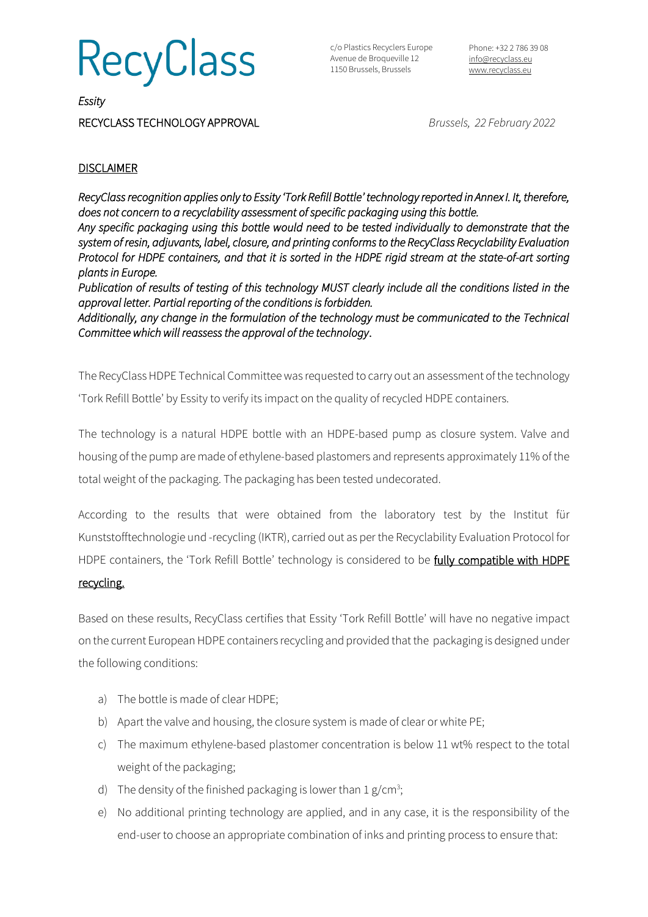**RecyClass** 

c/o Plastics Recyclers Europe Avenue de Broqueville 12 1150 Brussels, Brussels

Phone: +32 2 786 39 08 [info@recyclass.eu](mailto:info@recyclass.eu) [www.recyclass.eu](http://www.recyclass.eu/)

*Essity* 

RECYCLASS TECHNOLOGY APPROVAL *Brussels, 22 February 2022*

## **DISCLAIMER**

*RecyClass recognition applies only to Essity 'Tork Refill Bottle' technology reported in Annex I. It, therefore, does not concern to a recyclability assessment of specific packaging using this bottle.* 

*Any specific packaging using this bottle would need to be tested individually to demonstrate that the system of resin, adjuvants, label, closure, and printing conforms to the RecyClass Recyclability Evaluation Protocol for HDPE containers, and that it is sorted in the HDPE rigid stream at the state-of-art sorting plants in Europe.* 

*Publication of results of testing of this technology MUST clearly include all the conditions listed in the approval letter. Partial reporting of the conditions is forbidden.* 

*Additionally, any change in the formulation of the technology must be communicated to the Technical Committee which will reassess the approval of the technology*.

The RecyClass HDPE Technical Committee was requested to carry out an assessment of the technology 'Tork Refill Bottle' by Essity to verify its impact on the quality of recycled HDPE containers.

The technology is a natural HDPE bottle with an HDPE-based pump as closure system. Valve and housing of the pump are made of ethylene-based plastomers and represents approximately 11% of the total weight of the packaging. The packaging has been tested undecorated.

According to the results that were obtained from the laboratory test by the Institut für Kunststofftechnologie und -recycling (IKTR), carried out as per the Recyclability Evaluation Protocol for HDPE containers, the 'Tork Refill Bottle' technology is considered to be fully compatible with HDPE

### recycling.

Based on these results, RecyClass certifies that Essity 'Tork Refill Bottle' will have no negative impact on the current European HDPE containers recycling and provided that the packaging is designed under the following conditions:

- a) The bottle is made of clear HDPE;
- b) Apart the valve and housing, the closure system is made of clear or white PE;
- c) The maximum ethylene-based plastomer concentration is below 11 wt% respect to the total weight of the packaging;
- d) The density of the finished packaging is lower than  $1 g/cm^3$ ;
- e) No additional printing technology are applied, and in any case, it is the responsibility of the end-user to choose an appropriate combination of inks and printing process to ensure that: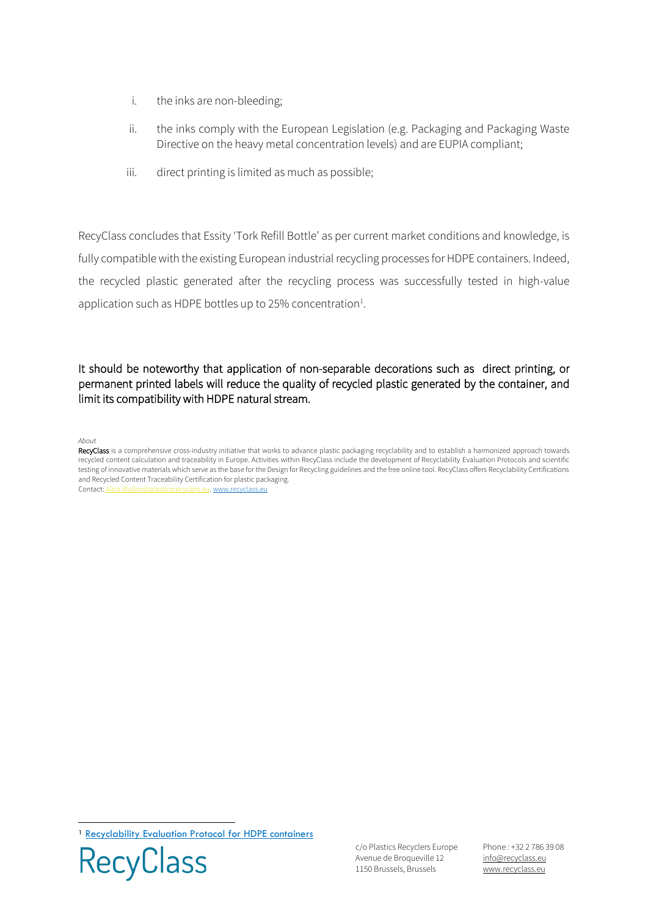- i. the inks are non-bleeding;
- ii. the inks comply with the European Legislation (e.g. Packaging and Packaging Waste Directive on the heavy metal concentration levels) and are EUPIA compliant;
- iii. direct printing is limited as much as possible;

RecyClass concludes that Essity 'Tork Refill Bottle' as per current market conditions and knowledge, is fully compatible with the existing European industrial recycling processes for HDPE containers. Indeed, the recycled plastic generated after the recycling process was successfully tested in high-value application such as HDPE bottles up to 25% concentration $<sup>1</sup>$ .</sup>

## It should be noteworthy that application of non-separable decorations such as direct printing, or permanent printed labels will reduce the quality of recycled plastic generated by the container, and limit its compatibility with HDPE natural stream.

#### *About*

RecyClass is a comprehensive cross-industry initiative that works to advance plastic packaging recyclability and to establish a harmonized approach towards recycled content calculation and traceability in Europe. Activities within RecyClass include the development of Recyclability Evaluation Protocols and scientific testing of innovative materials which serve as the base for the Design for Recycling guidelines and the free online tool. RecyClass offers Recyclability Certifications and Recycled Content Traceability Certification for plastic packaging. Contact[: Alice.Wallon@plasticsrecyclers.eu,](mailto:Alice.Wallon@plasticsrecyclers.eu) ww

<sup>1</sup> [Recyclability Evaluation Protocol for HDPE containers](https://recyclass.eu/recyclability/test-methods/)



c/o Plastics Recyclers Europe Avenue de Broqueville 12 1150 Brussels, Brussels

Phone : +32 2 786 39 08 info[@recyclass.eu](mailto:recyclass@plasticsrecyclers.eu) www.recyclass.eu